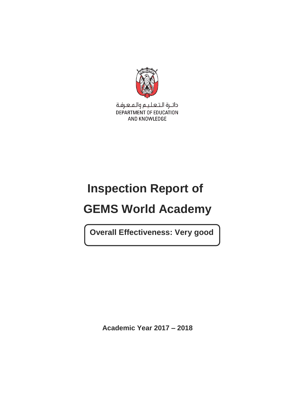

دائـرة الـتـعـلـيـم والـمـعـرفـة DEPARTMENT OF EDUCATION AND KNOWLEDGE

# **Inspection Report of**

# **GEMS World Academy**

**Overall Effectiveness: Very good**

**Academic Year 2017 – 2018**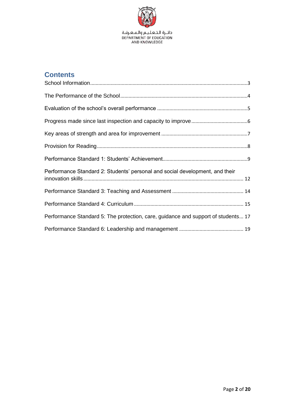

# **Contents**

| Performance Standard 2: Students' personal and social development, and their      |  |
|-----------------------------------------------------------------------------------|--|
|                                                                                   |  |
|                                                                                   |  |
| Performance Standard 5: The protection, care, guidance and support of students 17 |  |
|                                                                                   |  |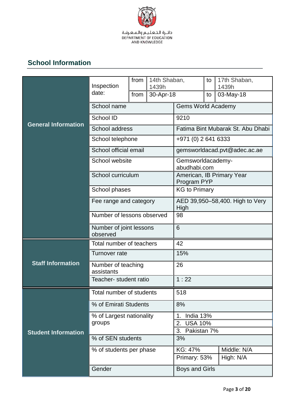

# **School Information**

|                            | Inspection                          | from | 14th Shaban,<br>1439h |                                                | to                  | 17th Shaban,<br>1439h        |  |
|----------------------------|-------------------------------------|------|-----------------------|------------------------------------------------|---------------------|------------------------------|--|
|                            | date:                               | from | 30-Apr-18             |                                                | to                  | 03-May-18                    |  |
|                            | School name                         |      |                       | <b>Gems World Academy</b>                      |                     |                              |  |
|                            | School ID                           |      |                       | 9210                                           |                     |                              |  |
| <b>General Information</b> | School address                      |      |                       | Fatima Bint Mubarak St. Abu Dhabi              |                     |                              |  |
|                            | School telephone                    |      |                       |                                                | +971 (0) 2 641 6333 |                              |  |
|                            | School official email               |      |                       |                                                |                     | gemsworldacad.pvt@adec.ac.ae |  |
|                            | School website                      |      |                       | Gemsworldacademy-<br>abudhabi.com              |                     |                              |  |
|                            | School curriculum                   |      |                       | Program PYP                                    |                     | American, IB Primary Year    |  |
|                            | School phases                       |      |                       | <b>KG to Primary</b>                           |                     |                              |  |
|                            | Fee range and category              |      |                       | AED 39,950-58,400. High to Very<br><b>High</b> |                     |                              |  |
|                            | Number of lessons observed          |      |                       | 98                                             |                     |                              |  |
|                            | Number of joint lessons<br>observed |      |                       | 6                                              |                     |                              |  |
|                            | Total number of teachers            |      |                       | 42                                             |                     |                              |  |
|                            | Turnover rate                       |      |                       | 15%                                            |                     |                              |  |
| <b>Staff Information</b>   | Number of teaching<br>assistants    |      |                       | 26                                             |                     |                              |  |
|                            | Teacher- student ratio              |      |                       | 1:22                                           |                     |                              |  |
|                            | Total number of students            |      |                       | 518                                            |                     |                              |  |
|                            | % of Emirati Students               |      |                       | 8%                                             |                     |                              |  |
|                            | % of Largest nationality            |      |                       | India 13%<br>1.                                |                     |                              |  |
| <b>Student Information</b> | groups                              |      |                       | 2. USA 10%<br>Pakistan 7%<br>3.                |                     |                              |  |
|                            | % of SEN students                   |      |                       | 3%                                             |                     |                              |  |
|                            | % of students per phase             |      |                       | KG: 47%                                        |                     | Middle: N/A                  |  |
|                            |                                     |      |                       | High: N/A<br>Primary: 53%                      |                     |                              |  |
|                            | Gender                              |      |                       | Boys and Girls                                 |                     |                              |  |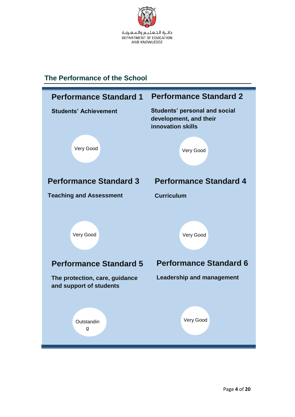

## <span id="page-3-0"></span>**The Performance of the School**

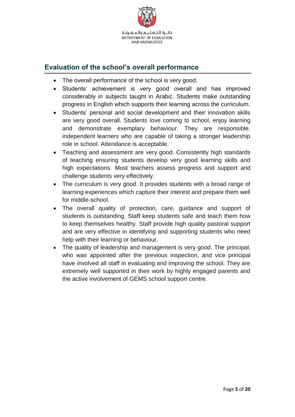

## <span id="page-4-0"></span>**Evaluation of the school's overall performance**

- The overall performance of the school is very good.
- Students' achievement is very good overall and has improved considerably in subjects taught in Arabic. Students make outstanding progress in English which supports their learning across the curriculum.
- Students' personal and social development and their innovation skills are very good overall. Students love coming to school, enjoy learning and demonstrate exemplary behaviour. They are responsible, independent learners who are capable of taking a stronger leadership role in school. Attendance is acceptable.
- Teaching and assessment are very good. Consistently high standards of teaching ensuring students develop very good learning skills and high expectations. Most teachers assess progress and support and challenge students very effectively.
- The curriculum is very good. It provides students with a broad range of learning experiences which capture their interest and prepare them well for middle-school.
- The overall quality of protection, care, guidance and support of students is outstanding. Staff keep students safe and teach them how to keep themselves healthy. Staff provide high quality pastoral support and are very effective in identifying and supporting students who need help with their learning or behaviour.
- The quality of leadership and management is very good. The principal, who was appointed after the previous inspection, and vice principal have involved all staff in evaluating and improving the school. They are extremely well supported in their work by highly engaged parents and the active involvement of GEMS school support centre.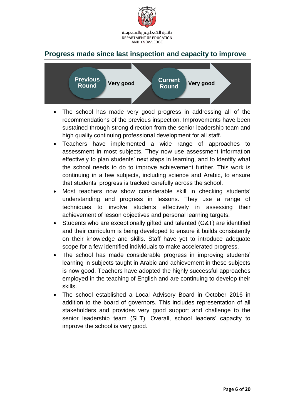

### <span id="page-5-0"></span>**Progress made since last inspection and capacity to improve**



- The school has made very good progress in addressing all of the recommendations of the previous inspection. Improvements have been sustained through strong direction from the senior leadership team and high quality continuing professional development for all staff.
- Teachers have implemented a wide range of approaches to assessment in most subjects. They now use assessment information effectively to plan students' next steps in learning, and to identify what the school needs to do to improve achievement further. This work is continuing in a few subjects, including science and Arabic, to ensure that students' progress is tracked carefully across the school.
- Most teachers now show considerable skill in checking students' understanding and progress in lessons. They use a range of techniques to involve students effectively in assessing their achievement of lesson objectives and personal learning targets.
- Students who are exceptionally gifted and talented (G&T) are identified and their curriculum is being developed to ensure it builds consistently on their knowledge and skills. Staff have yet to introduce adequate scope for a few identified individuals to make accelerated progress.
- The school has made considerable progress in improving students' learning in subjects taught in Arabic and achievement in these subjects is now good. Teachers have adopted the highly successful approaches employed in the teaching of English and are continuing to develop their skills.
- The school established a Local Advisory Board in October 2016 in addition to the board of governors. This includes representation of all stakeholders and provides very good support and challenge to the senior leadership team (SLT). Overall, school leaders' capacity to improve the school is very good.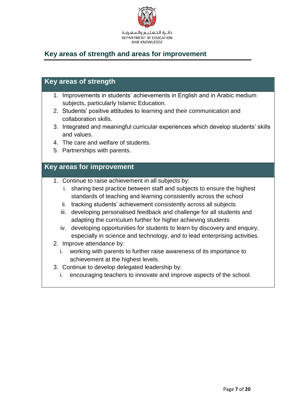

## <span id="page-6-0"></span>**Key areas of strength and areas for improvement**

#### **Key areas of strength**

- 1. Improvements in students' achievements in English and in Arabic medium subjects, particularly Islamic Education.
- 2. Students' positive attitudes to learning and their communication and collaboration skills.
- 3. Integrated and meaningful curricular experiences which develop students' skills and values.
- 4. The care and welfare of students.
- 5. Partnerships with parents.

#### **Key areas for improvement**

- 1. Continue to raise achievement in all subjects by:
	- i. sharing best practice between staff and subjects to ensure the highest standards of teaching and learning consistently across the school
	- ii. tracking students' achievement consistently across all subjects
	- iii. developing personalised feedback and challenge for all students and adapting the curriculum further for higher achieving students
	- iv. developing opportunities for students to learn by discovery and enquiry, especially in science and technology, and to lead enterprising activities.
- 2. Improve attendance by:
	- i. working with parents to further raise awareness of its importance to achievement at the highest levels.
- 3. Continue to develop delegated leadership by:
	- i. encouraging teachers to innovate and improve aspects of the school.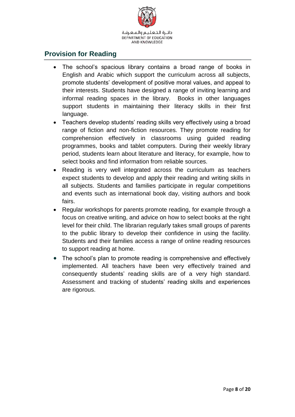

#### <span id="page-7-0"></span>**Provision for Reading**

- The school's spacious library contains a broad range of books in English and Arabic which support the curriculum across all subjects, promote students' development of positive moral values, and appeal to their interests. Students have designed a range of inviting learning and informal reading spaces in the library. Books in other languages support students in maintaining their literacy skills in their first language.
- Teachers develop students' reading skills very effectively using a broad range of fiction and non-fiction resources. They promote reading for comprehension effectively in classrooms using guided reading programmes, books and tablet computers. During their weekly library period, students learn about literature and literacy, for example, how to select books and find information from reliable sources.
- Reading is very well integrated across the curriculum as teachers expect students to develop and apply their reading and writing skills in all subjects. Students and families participate in regular competitions and events such as international book day, visiting authors and book fairs.
- Regular workshops for parents promote reading, for example through a focus on creative writing, and advice on how to select books at the right level for their child. The librarian regularly takes small groups of parents to the public library to develop their confidence in using the facility. Students and their families access a range of online reading resources to support reading at home.
- The school's plan to promote reading is comprehensive and effectively implemented. All teachers have been very effectively trained and consequently students' reading skills are of a very high standard. Assessment and tracking of students' reading skills and experiences are rigorous.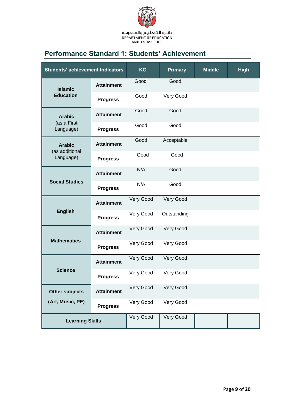

# <span id="page-8-0"></span>**Performance Standard 1: Students' Achievement**

| <b>Students' achievement Indicators</b> |                   | <b>KG</b> | <b>Primary</b> | <b>Middle</b> | <b>High</b> |
|-----------------------------------------|-------------------|-----------|----------------|---------------|-------------|
| <b>Islamic</b>                          | <b>Attainment</b> | Good      | Good           |               |             |
| <b>Education</b>                        | <b>Progress</b>   | Good      | Very Good      |               |             |
| <b>Arabic</b>                           | <b>Attainment</b> | Good      | Good           |               |             |
| (as a First<br>Language)                | <b>Progress</b>   | Good      | Good           |               |             |
| <b>Arabic</b>                           | <b>Attainment</b> | Good      | Acceptable     |               |             |
| (as additional<br>Language)             | <b>Progress</b>   | Good      | Good           |               |             |
|                                         | <b>Attainment</b> | N/A       | Good           |               |             |
| <b>Social Studies</b>                   | <b>Progress</b>   | N/A       | Good           |               |             |
| <b>English</b>                          | <b>Attainment</b> | Very Good | Very Good      |               |             |
|                                         | <b>Progress</b>   | Very Good | Outstanding    |               |             |
|                                         | <b>Attainment</b> | Very Good | Very Good      |               |             |
| <b>Mathematics</b>                      | <b>Progress</b>   | Very Good | Very Good      |               |             |
| <b>Science</b>                          | <b>Attainment</b> | Very Good | Very Good      |               |             |
|                                         | <b>Progress</b>   | Very Good | Very Good      |               |             |
| <b>Other subjects</b>                   | <b>Attainment</b> | Very Good | Very Good      |               |             |
| (Art, Music, PE)                        | <b>Progress</b>   | Very Good | Very Good      |               |             |
| <b>Learning Skills</b>                  |                   | Very Good | Very Good      |               |             |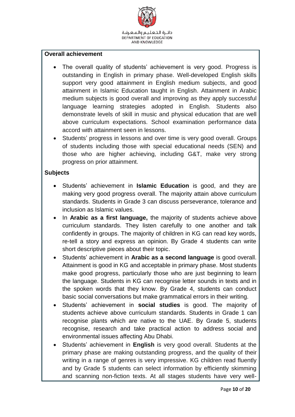

#### **Overall achievement**

- The overall quality of students' achievement is very good. Progress is outstanding in English in primary phase. Well-developed English skills support very good attainment in English medium subjects, and good attainment in Islamic Education taught in English. Attainment in Arabic medium subjects is good overall and improving as they apply successful language learning strategies adopted in English. Students also demonstrate levels of skill in music and physical education that are well above curriculum expectations. School examination performance data accord with attainment seen in lessons.
- Students' progress in lessons and over time is very good overall. Groups of students including those with special educational needs (SEN) and those who are higher achieving, including G&T, make very strong progress on prior attainment.

#### **Subjects**

- Students' achievement in **Islamic Education** is good, and they are making very good progress overall. The majority attain above curriculum standards. Students in Grade 3 can discuss perseverance, tolerance and inclusion as Islamic values.
- In **Arabic as a first language,** the majority of students achieve above curriculum standards. They listen carefully to one another and talk confidently in groups. The majority of children in KG can read key words, re-tell a story and express an opinion. By Grade 4 students can write short descriptive pieces about their topic.
- Students' achievement in **Arabic as a second language** is good overall. Attainment is good in KG and acceptable in primary phase. Most students make good progress, particularly those who are just beginning to learn the language. Students in KG can recognise letter sounds in texts and in the spoken words that they know. By Grade 4, students can conduct basic social conversations but make grammatical errors in their writing.
- Students' achievement in **social studies** is good. The majority of students achieve above curriculum standards. Students in Grade 1 can recognise plants which are native to the UAE. By Grade 5, students recognise, research and take practical action to address social and environmental issues affecting Abu Dhabi.
- Students' achievement in **English** is very good overall. Students at the primary phase are making outstanding progress, and the quality of their writing in a range of genres is very impressive. KG children read fluently and by Grade 5 students can select information by efficiently skimming and scanning non-fiction texts. At all stages students have very well-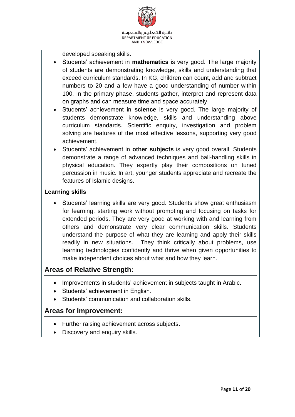

developed speaking skills.

- Students' achievement in **mathematics** is very good. The large majority of students are demonstrating knowledge, skills and understanding that exceed curriculum standards. In KG, children can count, add and subtract numbers to 20 and a few have a good understanding of number within 100. In the primary phase, students gather, interpret and represent data on graphs and can measure time and space accurately.
- Students' achievement in **science** is very good. The large majority of students demonstrate knowledge, skills and understanding above curriculum standards. Scientific enquiry, investigation and problem solving are features of the most effective lessons, supporting very good achievement.
- Students' achievement in **other subjects** is very good overall. Students demonstrate a range of advanced techniques and ball-handling skills in physical education. They expertly play their compositions on tuned percussion in music. In art, younger students appreciate and recreate the features of Islamic designs.

#### **Learning skills**

 Students' learning skills are very good. Students show great enthusiasm for learning, starting work without prompting and focusing on tasks for extended periods. They are very good at working with and learning from others and demonstrate very clear communication skills. Students understand the purpose of what they are learning and apply their skills readily in new situations. They think critically about problems, use learning technologies confidently and thrive when given opportunities to make independent choices about what and how they learn.

#### **Areas of Relative Strength:**

- Improvements in students' achievement in subjects taught in Arabic.
- Students' achievement in English.
- Students' communication and collaboration skills.

- Further raising achievement across subjects.
- Discovery and enquiry skills.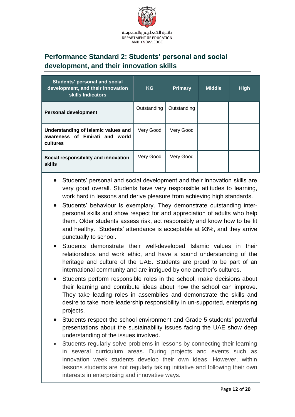

# <span id="page-11-0"></span>**Performance Standard 2: Students' personal and social development, and their innovation skills**

| <b>Students' personal and social</b><br>development, and their innovation<br>skills Indicators | <b>KG</b>   | <b>Primary</b> | <b>Middle</b> | <b>High</b> |
|------------------------------------------------------------------------------------------------|-------------|----------------|---------------|-------------|
| <b>Personal development</b>                                                                    | Outstanding | Outstanding    |               |             |
| Understanding of Islamic values and<br>awareness of Emirati and world<br>cultures              | Very Good   | Very Good      |               |             |
| Social responsibility and innovation<br><b>skills</b>                                          | Very Good   | Very Good      |               |             |

- Students' personal and social development and their innovation skills are very good overall. Students have very responsible attitudes to learning, work hard in lessons and derive pleasure from achieving high standards.
- Students' behaviour is exemplary. They demonstrate outstanding interpersonal skills and show respect for and appreciation of adults who help them. Older students assess risk, act responsibly and know how to be fit and healthy. Students' attendance is acceptable at 93%, and they arrive punctually to school.
- Students demonstrate their well-developed Islamic values in their relationships and work ethic, and have a sound understanding of the heritage and culture of the UAE. Students are proud to be part of an international community and are intrigued by one another's cultures.
- Students perform responsible roles in the school, make decisions about their learning and contribute ideas about how the school can improve. They take leading roles in assemblies and demonstrate the skills and desire to take more leadership responsibility in un-supported, enterprising projects.
- Students respect the school environment and Grade 5 students' powerful presentations about the sustainability issues facing the UAE show deep understanding of the issues involved.
- Students regularly solve problems in lessons by connecting their learning in several curriculum areas. During projects and events such as innovation week students develop their own ideas. However, within lessons students are not regularly taking initiative and following their own interests in enterprising and innovative ways.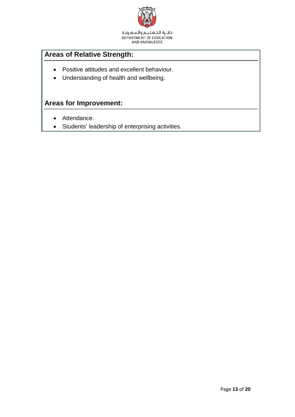

دائــرة الـتـعـلـيــم والـهـعـرفـة<br>DEPARTMENT OF EDUCATION<br>AND KNOWLEDGE

# **Areas of Relative Strength:**

- Positive attitudes and excellent behaviour.
- Understanding of health and wellbeing.

- Attendance.
- Students' leadership of enterprising activities.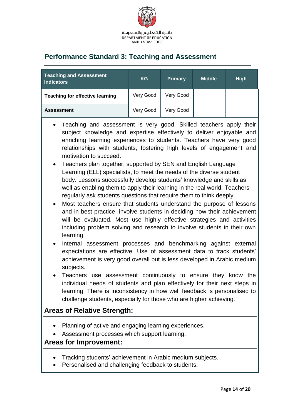

## <span id="page-13-0"></span>**Performance Standard 3: Teaching and Assessment**

| <b>Teaching and Assessment</b><br><b>Indicators</b> | <b>KG</b> | <b>Primary</b> | <b>Middle</b> | <b>High</b> |
|-----------------------------------------------------|-----------|----------------|---------------|-------------|
| <b>Teaching for effective learning</b>              | Very Good | Very Good      |               |             |
| <b>Assessment</b>                                   | Very Good | Very Good      |               |             |

- Teaching and assessment is very good. Skilled teachers apply their subject knowledge and expertise effectively to deliver enjoyable and enriching learning experiences to students. Teachers have very good relationships with students, fostering high levels of engagement and motivation to succeed.
- Teachers plan together, supported by SEN and English Language Learning (ELL) specialists, to meet the needs of the diverse student body. Lessons successfully develop students' knowledge and skills as well as enabling them to apply their learning in the real world. Teachers regularly ask students questions that require them to think deeply.
- Most teachers ensure that students understand the purpose of lessons and in best practice, involve students in deciding how their achievement will be evaluated. Most use highly effective strategies and activities including problem solving and research to involve students in their own learning.
- Internal assessment processes and benchmarking against external expectations are effective. Use of assessment data to track students' achievement is very good overall but is less developed in Arabic medium subjects.
- Teachers use assessment continuously to ensure they know the individual needs of students and plan effectively for their next steps in learning. There is inconsistency in how well feedback is personalised to challenge students, especially for those who are higher achieving.

### **Areas of Relative Strength:**

- Planning of active and engaging learning experiences.
- Assessment processes which support learning.

- Tracking students' achievement in Arabic medium subjects.
- Personalised and challenging feedback to students.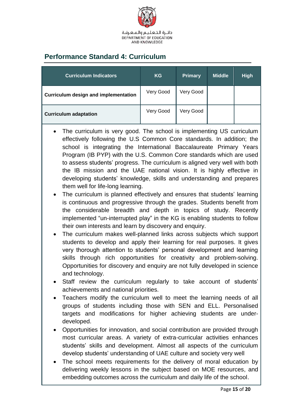

# <span id="page-14-0"></span>**Performance Standard 4: Curriculum**

| <b>Curriculum Indicators</b>         | <b>KG</b> | <b>Primary</b> | <b>Middle</b> | <b>High</b> |
|--------------------------------------|-----------|----------------|---------------|-------------|
| Curriculum design and implementation | Very Good | Very Good      |               |             |
| <b>Curriculum adaptation</b>         | Very Good | Very Good      |               |             |

- The curriculum is very good. The school is implementing US curriculum effectively following the U.S Common Core standards. In addition; the school is integrating the International Baccalaureate Primary Years Program (IB PYP) with the U.S. Common Core standards which are used to assess students' progress. The curriculum is aligned very well with both the IB mission and the UAE national vision. It is highly effective in developing students' knowledge, skills and understanding and prepares them well for life-long learning.
- The curriculum is planned effectively and ensures that students' learning is continuous and progressive through the grades. Students benefit from the considerable breadth and depth in topics of study. Recently implemented "un-interrupted play" in the KG is enabling students to follow their own interests and learn by discovery and enquiry.
- The curriculum makes well-planned links across subjects which support students to develop and apply their learning for real purposes. It gives very thorough attention to students' personal development and learning skills through rich opportunities for creativity and problem-solving. Opportunities for discovery and enquiry are not fully developed in science and technology.
- Staff review the curriculum regularly to take account of students' achievements and national priorities.
- Teachers modify the curriculum well to meet the learning needs of all groups of students including those with SEN and ELL. Personalised targets and modifications for higher achieving students are underdeveloped.
- Opportunities for innovation, and social contribution are provided through most curricular areas. A variety of extra-curricular activities enhances students' skills and development. Almost all aspects of the curriculum develop students' understanding of UAE culture and society very well
- The school meets requirements for the delivery of moral education by delivering weekly lessons in the subject based on MOE resources, and embedding outcomes across the curriculum and daily life of the school.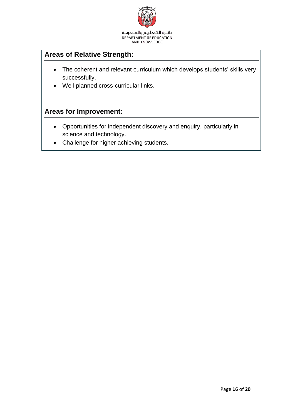

AND KNOWLEDGE

# **Areas of Relative Strength:**

- The coherent and relevant curriculum which develops students' skills very successfully.
- Well-planned cross-curricular links.

- Opportunities for independent discovery and enquiry, particularly in science and technology.
- Challenge for higher achieving students.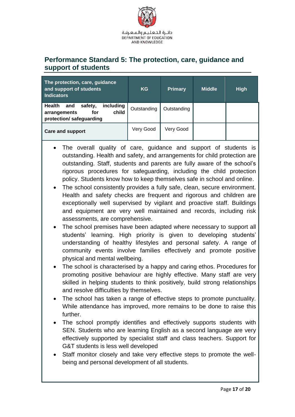

### <span id="page-16-0"></span>**Performance Standard 5: The protection, care, guidance and support of students**

| The protection, care, guidance<br>and support of students<br><b>Indicators</b>                           | <b>KG</b>   | <b>Primary</b> | <b>Middle</b> | <b>High</b> |
|----------------------------------------------------------------------------------------------------------|-------------|----------------|---------------|-------------|
| including<br><b>Health</b><br>safety,<br>and<br>child<br>arrangements<br>for<br>protection/ safeguarding | Outstanding | Outstanding    |               |             |
| Care and support                                                                                         | Very Good   | Very Good      |               |             |

- The overall quality of care, guidance and support of students is outstanding. Health and safety, and arrangements for child protection are outstanding. Staff, students and parents are fully aware of the school's rigorous procedures for safeguarding, including the child protection policy. Students know how to keep themselves safe in school and online.
- The school consistently provides a fully safe, clean, secure environment. Health and safety checks are frequent and rigorous and children are exceptionally well supervised by vigilant and proactive staff. Buildings and equipment are very well maintained and records, including risk assessments, are comprehensive.
- The school premises have been adapted where necessary to support all students' learning. High priority is given to developing students' understanding of healthy lifestyles and personal safety. A range of community events involve families effectively and promote positive physical and mental wellbeing.
- The school is characterised by a happy and caring ethos. Procedures for promoting positive behaviour are highly effective. Many staff are very skilled in helping students to think positively, build strong relationships and resolve difficulties by themselves.
- The school has taken a range of effective steps to promote punctuality. While attendance has improved, more remains to be done to raise this further.
- The school promptly identifies and effectively supports students with SEN. Students who are learning English as a second language are very effectively supported by specialist staff and class teachers. Support for G&T students is less well developed
- Staff monitor closely and take very effective steps to promote the wellbeing and personal development of all students.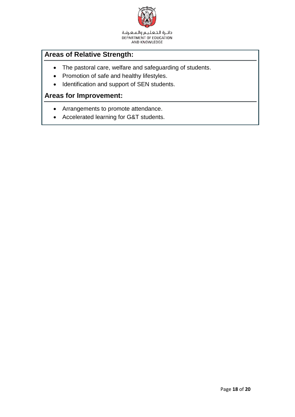

دائـرة الـتـعـلـيـم والـمـعـرفـة DEPARTMENT OF EDUCATION AND KNOWLEDGE

# **Areas of Relative Strength:**

- The pastoral care, welfare and safeguarding of students.
- Promotion of safe and healthy lifestyles.
- Identification and support of SEN students.

- Arrangements to promote attendance.
- Accelerated learning for G&T students.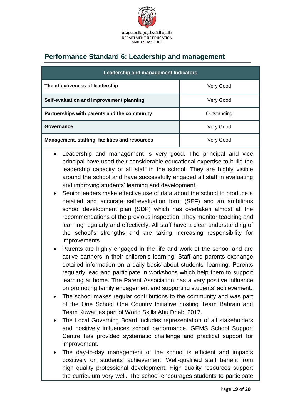

# <span id="page-18-0"></span>**Performance Standard 6: Leadership and management**

| Leadership and management Indicators                  |             |  |  |  |
|-------------------------------------------------------|-------------|--|--|--|
| The effectiveness of leadership                       | Very Good   |  |  |  |
| Self-evaluation and improvement planning              | Very Good   |  |  |  |
| Partnerships with parents and the community           | Outstanding |  |  |  |
| Governance                                            | Very Good   |  |  |  |
| <b>Management, staffing, facilities and resources</b> | Verv Good   |  |  |  |

- Leadership and management is very good. The principal and vice principal have used their considerable educational expertise to build the leadership capacity of all staff in the school. They are highly visible around the school and have successfully engaged all staff in evaluating and improving students' learning and development.
- Senior leaders make effective use of data about the school to produce a detailed and accurate self-evaluation form (SEF) and an ambitious school development plan (SDP) which has overtaken almost all the recommendations of the previous inspection. They monitor teaching and learning regularly and effectively. All staff have a clear understanding of the school's strengths and are taking increasing responsibility for improvements.
- Parents are highly engaged in the life and work of the school and are active partners in their children's learning. Staff and parents exchange detailed information on a daily basis about students' learning. Parents regularly lead and participate in workshops which help them to support learning at home. The Parent Association has a very positive influence on promoting family engagement and supporting students' achievement.
- The school makes regular contributions to the community and was part of the One School One Country Initiative hosting Team Bahrain and Team Kuwait as part of World Skills Abu Dhabi 2017.
- The Local Governing Board includes representation of all stakeholders and positively influences school performance. GEMS School Support Centre has provided systematic challenge and practical support for improvement.
- The day-to-day management of the school is efficient and impacts positively on students' achievement. Well-qualified staff benefit from high quality professional development. High quality resources support the curriculum very well. The school encourages students to participate